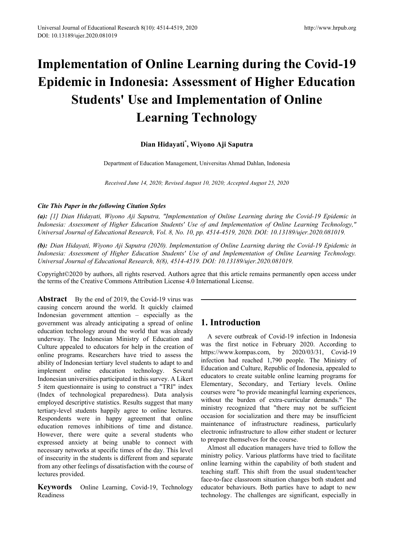# **Implementation of Online Learning during the Covid-19 Epidemic in Indonesia: Assessment of Higher Education Students' Use and Implementation of Online Learning Technology**

# **Dian Hidayati\* , Wiyono Aji Saputra**

Department of Education Management, Universitas Ahmad Dahlan, Indonesia

*Received June 14, 2020; Revised August 10, 2020; Accepted August 25, 2020*

#### *Cite This Paper in the following Citation Styles*

*(a): [1] Dian Hidayati, Wiyono Aji Saputra, "Implementation of Online Learning during the Covid-19 Epidemic in Indonesia: Assessment of Higher Education Students' Use of and Implementation of Online Learning Technology," Universal Journal of Educational Research, Vol. 8, No. 10, pp. 4514-4519, 2020. DOI: 10.13189/ujer.2020.081019.* 

*(b): Dian Hidayati, Wiyono Aji Saputra (2020). Implementation of Online Learning during the Covid-19 Epidemic in Indonesia: Assessment of Higher Education Students' Use of and Implementation of Online Learning Technology. Universal Journal of Educational Research, 8(8), 4514-4519. DOI: 10.13189/ujer.2020.081019.* 

Copyright©2020 by authors, all rights reserved. Authors agree that this article remains permanently open access under the terms of the Creative Commons Attribution License 4.0 International License.

**Abstract** By the end of 2019, the Covid-19 virus was causing concern around the world. It quickly claimed Indonesian government attention – especially as the government was already anticipating a spread of online education technology around the world that was already underway. The Indonesian Ministry of Education and Culture appealed to educators for help in the creation of online programs. Researchers have tried to assess the ability of Indonesian tertiary level students to adapt to and implement online education technology. Several Indonesian universities participated in this survey. A Likert 5 item questionnaire is using to construct a "TRI" index (Index of technological preparedness). Data analysis employed descriptive statistics. Results suggest that many tertiary-level students happily agree to online lectures. Respondents were in happy agreement that online education removes inhibitions of time and distance. However, there were quite a several students who expressed anxiety at being unable to connect with necessary networks at specific times of the day. This level of insecurity in the students is different from and separate from any other feelings of dissatisfaction with the course of lectures provided.

**Keywords** Online Learning, Covid-19, Technology Readiness

# **1. Introduction**

A severe outbreak of Covid-19 infection in Indonesia was the first notice in February 2020. According to https://www.kompas.com, by 2020/03/31, Covid-19 infection had reached 1,790 people. The Ministry of Education and Culture, Republic of Indonesia, appealed to educators to create suitable online learning programs for Elementary, Secondary, and Tertiary levels. Online courses were "to provide meaningful learning experiences, without the burden of extra-curricular demands." The ministry recognized that "there may not be sufficient occasion for socialization and there may be insufficient maintenance of infrastructure readiness, particularly electronic infrastructure to allow either student or lecturer to prepare themselves for the course.

Almost all education managers have tried to follow the ministry policy. Various platforms have tried to facilitate online learning within the capability of both student and teaching staff. This shift from the usual student/teacher face-to-face classroom situation changes both student and educator behaviours. Both parties have to adapt to new technology. The challenges are significant, especially in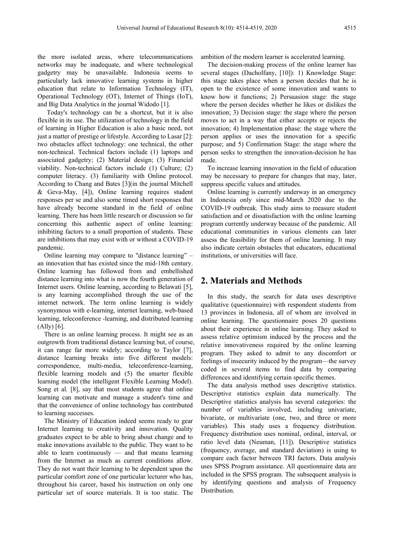the more isolated areas, where telecommunications networks may be inadequate, and where technological gadgetry may be unavailable. Indonesia seems to particularly lack innovative learning systems in higher education that relate to Information Technology (IT), Operational Technology (OT), Internet of Things (IoT), and Big Data Analytics in the journal Widodo [1].

Today's technology can be a shortcut, but it is also flexible in its use. The utilization of technology in the field of learning in Higher Education is also a basic need, not just a matter of prestige or lifestyle. According to Lasar [2]: two obstacles affect technology: one technical, the other non-technical. Technical factors include (1) laptops and associated gadgetry; (2) Material design; (3) Financial viability. Non-technical factors include (1) Culture; (2) computer literacy. (3) familiarity with Online protocol. According to Chang and Bates [3](in the journal Mitchell & Geva-May, [4]), Online learning requires student responses per se and also some timed short responses that have already become standard in the field of online learning. There has been little research or discussion so far concerning this authentic aspect of online learning: inhibiting factors to a small proportion of students. These are inhibitions that may exist with or without a COVID-19 pandemic.

Online learning may compare to "distance learning" – an innovation that has existed since the mid-18th century. Online learning has followed from and embellished distance learning into what is now the fourth generation of Internet users. Online learning, according to Belawati [5], is any learning accomplished through the use of the internet network. The term online learning is widely synonymous with e-learning, internet learning, web-based learning, teleconference -learning, and distributed learning (Ally) [6].

There is an online learning process. It might see as an outgrowth from traditional distance learning but, of course, it can range far more widely; according to Taylor [7], distance learning breaks into five different models: correspondence, multi-media, teleconference-learning, flexible learning models and (5) the smarter flexible learning model (the intelligent Flexible Learning Model). Song et al. [8], say that most students agree that online learning can motivate and manage a student's time and that the convenience of online technology has contributed to learning successes.

The Ministry of Education indeed seems ready to gear Internet learning to creativity and innovation. Quality graduates expect to be able to bring about change and to make innovations available to the public. They want to be able to learn continuously — and that means learning from the Internet as much as current conditions allow. They do not want their learning to be dependent upon the particular comfort zone of one particular lecturer who has, throughout his career, based his instruction on only one particular set of source materials. It is too static. The ambition of the modern learner is accelerated learning.

The decision-making process of the online learner has several stages (Dacholfany, [10]): 1) Knowledge Stage: this stage takes place when a person decides that he is open to the existence of some innovation and wants to know how it functions; 2) Persuasion stage: the stage where the person decides whether he likes or dislikes the innovation; 3) Decision stage: the stage where the person moves to act in a way that either accepts or rejects the innovation; 4) Implementation phase: the stage where the person applies or uses the innovation for a specific purpose; and 5) Confirmation Stage: the stage where the person seeks to strengthen the innovation-decision he has made.

To increase learning innovation in the field of education may be necessary to prepare for changes that may, later, suppress specific values and attitudes.

Online learning is currently underway in an emergency in Indonesia only since mid-March 2020 due to the COVID-19 outbreak. This study aims to measure student satisfaction and or dissatisfaction with the online learning program currently underway because of the pandemic. All educational communities in various elements can later assess the feasibility for them of online learning. It may also indicate certain obstacles that educators, educational institutions, or universities will face.

# **2. Materials and Methods**

In this study, the search for data uses descriptive qualitative (questionnaire) with respondent students from 13 provinces in Indonesia, all of whom are involved in online learning. The questionnaire poses 20 questions about their experience in online learning. They asked to assess relative optimism induced by the process and the relative innovativeness required by the online learning program. They asked to admit to any discomfort or feelings of insecurity induced by the program—the survey coded in several items to find data by comparing differences and identifying certain specific themes.

The data analysis method uses descriptive statistics. Descriptive statistics explain data numerically. The Descriptive statistics analysis has several categories: the number of variables involved, including univariate, bivariate, or multivariate (one, two, and three or more variables). This study uses a frequency distribution. Frequency distribution uses nominal, ordinal, interval, or ratio level data (Neuman, [11]). Descriptive statistics (frequency, average, and standard deviation) is using to compare each factor between TRI factors. Data analysis uses SPSS Program assistance. All questionnaire data are included in the SPSS program. The subsequent analysis is by identifying questions and analysis of Frequency Distribution.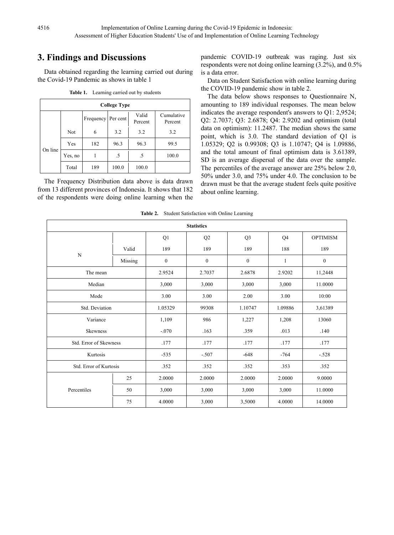# **3. Findings and Discussions**

Data obtained regarding the learning carried out during the Covid-19 Pandemic as shows in table 1

| <b>College Type</b> |                                                                    |     |       |       |       |  |  |  |  |
|---------------------|--------------------------------------------------------------------|-----|-------|-------|-------|--|--|--|--|
|                     | Valid<br>Cumulative<br>Frequency<br>Per cent<br>Percent<br>Percent |     |       |       |       |  |  |  |  |
| On line             | Not                                                                | 6   | 3.2   | 3.2   | 3.2   |  |  |  |  |
|                     | Yes                                                                | 182 | 96.3  | 96.3  | 99.5  |  |  |  |  |
|                     | Yes, no                                                            |     | .5    | .5    | 100.0 |  |  |  |  |
|                     | Total                                                              | 189 | 100.0 | 100.0 |       |  |  |  |  |

**Table 1.** Learning carried out by students

The Frequency Distribution data above is data drawn from 13 different provinces of Indonesia. It shows that 182 of the respondents were doing online learning when the pandemic COVID-19 outbreak was raging. Just six respondents were not doing online learning (3.2%), and 0.5% is a data error.

Data on Student Satisfaction with online learning during the COVID-19 pandemic show in table 2.

The data below shows responses to Questionnaire N, amounting to 189 individual responses. The mean below indicates the average respondent's answers to Q1: 2,9524; Q2: 2.7037; Q3: 2.6878; Q4: 2.9202 and optimism (total data on optimism): 11.2487. The median shows the same point, which is 3.0. The standard deviation of Q1 is 1.05329; Q2 is 0.99308; Q3 is 1.10747; Q4 is 1.09886, and the total amount of final optimism data is 3.61389, SD is an average dispersal of the data over the sample. The percentiles of the average answer are 25% below 2.0, 50% under 3.0, and 75% under 4.0. The conclusion to be drawn must be that the average student feels quite positive about online learning.

| <b>Statistics</b>      |         |                  |                  |                  |         |                  |  |
|------------------------|---------|------------------|------------------|------------------|---------|------------------|--|
|                        |         | Q1               | Q2               | Q <sub>3</sub>   | Q4      | <b>OPTIMISM</b>  |  |
|                        | Valid   | 189              | 189              | 189              | 188     | 189              |  |
| N                      | Missing | $\boldsymbol{0}$ | $\boldsymbol{0}$ | $\boldsymbol{0}$ | 1       | $\boldsymbol{0}$ |  |
| The mean               |         | 2.9524           | 2.7037           | 2.6878           | 2.9202  | 11,2448          |  |
| Median                 |         | 3,000            | 3,000            | 3,000            | 3,000   | 11.0000          |  |
| Mode                   | 3.00    | 3.00             | 2.00             | 3.00             |         |                  |  |
| Std. Deviation         | 1.05329 | 99308            | 1.10747          | 1.09886          | 3,61389 |                  |  |
| Variance               | 1,109   | 986              | 1,227            | 1,208            | 13060   |                  |  |
| Skewness               |         | $-.070$          | .163             | .359<br>.013     |         | .140             |  |
| Std. Error of Skewness |         | .177             | .177             | .177<br>.177     |         | .177             |  |
| Kurtosis               | $-535$  | $-.507$          | $-648$           | $-764$           |         |                  |  |
| Std. Error of Kurtosis |         | .352             | .352             | .353<br>.352     |         | .352             |  |
|                        | 25      | 2.0000           | 2.0000           | 2.0000           | 2.0000  | 9.0000           |  |
| Percentiles            | 50      | 3,000            | 3,000            | 3,000            | 3,000   | 11.0000          |  |
|                        | 75      | 4.0000           | 3,000            | 3,5000           | 4.0000  | 14.0000          |  |

**Table 2.** Student Satisfaction with Online Learning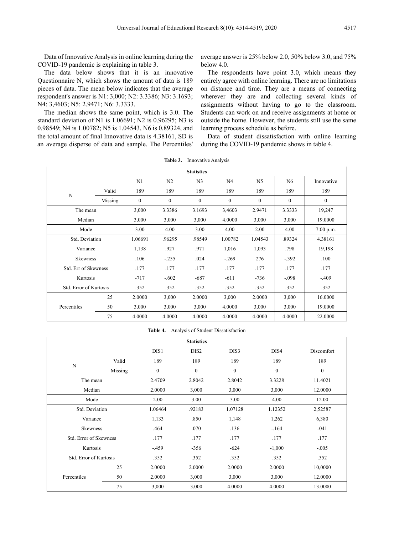Data of Innovative Analysis in online learning during the COVID-19 pandemic is explaining in table 3.

The data below shows that it is an innovative Questionnaire N, which shows the amount of data is 189 pieces of data. The mean below indicates that the average respondent's answer is N1: 3,000; N2: 3.3386; N3: 3.1693; N4: 3,4603; N5: 2.9471; N6: 3.3333.

The median shows the same point, which is 3.0. The standard deviation of N1 is 1.06691; N2 is 0.96295; N3 is 0.98549; N4 is 1.00782; N5 is 1.04543, N6 is 0.89324, and the total amount of final Innovative data is 4.38161, SD is an average disperse of data and sample. The Percentiles'

average answer is 25% below 2.0, 50% below 3.0, and 75% below 4.0.

The respondents have point 3.0, which means they entirely agree with online learning. There are no limitations on distance and time. They are a means of connecting wherever they are and collecting several kinds of assignments without having to go to the classroom. Students can work on and receive assignments at home or outside the home. However, the students still use the same learning process schedule as before.

Data of student dissatisfaction with online learning during the COVID-19 pandemic shows in table 4.

| <b>Statistics</b>      |                      |              |                |                |          |                |              |              |
|------------------------|----------------------|--------------|----------------|----------------|----------|----------------|--------------|--------------|
|                        |                      | N1           | N <sub>2</sub> | N <sub>3</sub> | N4       | N <sub>5</sub> | N6           | Innovative   |
|                        | Valid                | 189          | 189            | 189            | 189      | 189            | 189          | 189          |
| N                      | Missing              | $\mathbf{0}$ | $\mathbf{0}$   | $\mathbf{0}$   | $\theta$ | $\Omega$       | $\mathbf{0}$ | $\mathbf{0}$ |
| The mean               |                      | 3,000        | 3.3386         | 3.1693         | 3,4603   | 2.9471         | 3.3333       | 19,247       |
| Median                 |                      | 3,000        | 3,000          | 3,000          | 4.0000   | 3,000          | 3,000        | 19.0000      |
| Mode                   |                      | 3.00         | 4.00           | 3.00           | 4.00     | 2.00           | 4.00         | $7:00$ p.m.  |
| Std. Deviation         |                      | 1.06691      | .96295         | .98549         | 1.00782  | 1.04543        | .89324       | 4.38161      |
| Variance               |                      | 1,138        | .927           | .971           | 1,016    | 1,093          | .798         | 19,198       |
|                        | Skewness             |              | $-.255$        | .024           | $-.269$  | 276            | $-.392$      | .100         |
|                        | Std. Err of Skewness |              | .177           | .177           | .177     | .177           | .177         | .177         |
|                        | Kurtosis             |              | $-.602$        | $-687$         | $-611$   | $-736$         | $-.098$      | $-.409$      |
| Std. Error of Kurtosis |                      | .352         | .352           | .352           | .352     | .352           | .352         | .352         |
|                        | 25                   | 2.0000       | 3,000          | 2.0000         | 3,000    | 2.0000         | 3,000        | 16.0000      |
| Percentiles            | 50                   | 3,000        | 3,000          | 3,000          | 4.0000   | 3,000          | 3,000        | 19.0000      |
|                        | 75                   | 4.0000       | 4.0000         | 4.0000         | 4.0000   | 4.0000         | 4.0000       | 22.0000      |

#### **Table 3.** Innovative Analysis

**Table 4.** Analysis of Student Dissatisfaction

| <b>Statistics</b>      |         |              |                  |              |              |              |  |  |
|------------------------|---------|--------------|------------------|--------------|--------------|--------------|--|--|
|                        |         | DIS1         | DIS <sub>2</sub> | DIS3         | DIS4         | Discomfort   |  |  |
|                        | Valid   | 189          | 189              | 189          | 189          | 189          |  |  |
| N                      | Missing | $\mathbf{0}$ | $\mathbf{0}$     | $\mathbf{0}$ | $\mathbf{0}$ | $\mathbf{0}$ |  |  |
| The mean               |         | 2.4709       | 2.8042           | 2.8042       | 3.3228       | 11.4021      |  |  |
| Median                 |         | 2.0000       | 3,000            | 3,000        | 3,000        | 12.0000      |  |  |
| Mode                   |         | 2.00         | 3.00             | 3.00         | 4.00         | 12.00        |  |  |
| Std. Deviation         |         | 1.06464      | .92183           | 1.07128      | 1.12352      | 2,52587      |  |  |
| Variance               |         | 1,133        | .850             | 1,148        | 1,262        | 6,380        |  |  |
| <b>Skewness</b>        |         | .464         | .070             | .136         | $-164$       | $-041$       |  |  |
| Std. Error of Skewness |         | .177         | .177             | .177         | .177         | .177         |  |  |
| Kurtosis               |         | $-459$       | $-356$           | $-624$       | $-1,000$     | $-.005$      |  |  |
| Std. Error of Kurtosis |         | .352         | .352             | .352         | .352         | .352         |  |  |
|                        | 25      | 2.0000       | 2.0000           | 2.0000       | 2.0000       | 10,0000      |  |  |
| Percentiles            | 50      | 2.0000       | 3,000            | 3,000        | 3,000        | 12.0000      |  |  |
|                        | 75      | 3,000        | 3,000            | 4.0000       | 4.0000       | 13.0000      |  |  |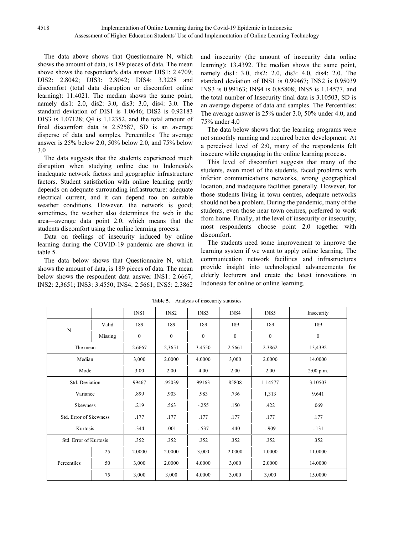The data above shows that Questionnaire N, which shows the amount of data, is 189 pieces of data. The mean above shows the respondent's data answer DIS1: 2.4709; DIS2: 2.8042; DIS3: 2.8042; DIS4: 3.3228 and discomfort (total data disruption or discomfort online learning): 11.4021. The median shows the same point, namely dis1: 2.0, dis2: 3.0, dis3: 3.0, dis4: 3.0. The standard deviation of DIS1 is 1.0646; DIS2 is 0.92183 DIS3 is 1.07128; Q4 is 1.12352, and the total amount of final discomfort data is 2.52587, SD is an average disperse of data and samples. Percentiles: The average answer is 25% below 2.0, 50% below 2.0, and 75% below 3.0

The data suggests that the students experienced much disruption when studying online due to Indonesia's inadequate network factors and geographic infrastructure factors. Student satisfaction with online learning partly depends on adequate surrounding infrastructure: adequate electrical current, and it can depend too on suitable weather conditions. However, the network is good; sometimes, the weather also determines the web in the area—average data point 2.0, which means that the students discomfort using the online learning process.

Data on feelings of insecurity induced by online learning during the COVID-19 pandemic are shown in table 5.

The data below shows that Questionnaire N, which shows the amount of data, is 189 pieces of data. The mean below shows the respondent data answer INS1: 2.6667; INS2: 2,3651; INS3: 3.4550; INS4: 2.5661; INS5: 2.3862 and insecurity (the amount of insecurity data online learning): 13.4392. The median shows the same point, namely dis1: 3.0, dis2: 2.0, dis3: 4.0, dis4: 2.0. The standard deviation of INS1 is 0.99467; INS2 is 0.95039 INS3 is 0.99163; INS4 is 0.85808; INS5 is 1.14577, and the total number of Insecurity final data is 3.10503, SD is an average disperse of data and samples. The Percentiles: The average answer is 25% under 3.0, 50% under 4.0, and 75% under 4.0

The data below shows that the learning programs were not smoothly running and required better development. At a perceived level of 2:0, many of the respondents felt insecure while engaging in the online learning process.

This level of discomfort suggests that many of the students, even most of the students, faced problems with inferior communications networks, wrong geographical location, and inadequate facilities generally. However, for those students living in town centres, adequate networks should not be a problem. During the pandemic, many of the students, even those near town centres, preferred to work from home. Finally, at the level of insecurity or insecurity, most respondents choose point 2.0 together with discomfort.

The students need some improvement to improve the learning system if we want to apply online learning. The communication network facilities and infrastructures provide insight into technological advancements for elderly lecturers and create the latest innovations in Indonesia for online or online learning.

|                        |                        | INS1     | INS <sub>2</sub> | INS3     | INS4     | INS5     | Insecurity |
|------------------------|------------------------|----------|------------------|----------|----------|----------|------------|
|                        | Valid                  | 189      | 189              | 189      | 189      | 189      | 189        |
| $\mathbf N$            | Missing                | $\theta$ | $\theta$         | $\Omega$ | $\theta$ | $\theta$ | $\theta$   |
| The mean               |                        | 2.6667   | 2,3651           | 3.4550   | 2.5661   | 2.3862   | 13,4392    |
| Median                 |                        | 3,000    | 2.0000           | 4.0000   | 3,000    | 2.0000   | 14.0000    |
| Mode                   |                        | 3.00     | 2.00             | 4.00     | 2.00     | 2.00     | 2:00 p.m.  |
| Std. Deviation         |                        | 99467    | .95039           | 99163    | 85808    | 1.14577  | 3.10503    |
| Variance               |                        | .899     | .903             | .983     | .736     | 1,313    | 9,641      |
| Skewness               |                        | .219     | .563             | $-.255$  | .150     | .422     | .069       |
|                        | Std. Error of Skewness |          | .177             | .177     | .177     | .177     | .177       |
| Kurtosis               |                        | $-344$   | $-001$           | $-.537$  | $-440$   | $-909$   | $-131$     |
| Std. Error of Kurtosis |                        | .352     | .352             | .352     | .352     | .352     | .352       |
|                        | 25                     | 2.0000   | 2.0000           | 3,000    | 2.0000   | 1.0000   | 11.0000    |
| Percentiles            | 50                     | 3,000    | 2.0000           | 4.0000   | 3,000    | 2.0000   | 14.0000    |
|                        | 75                     | 3,000    | 3,000            | 4.0000   | 3,000    | 3,000    | 15.0000    |

**Table 5.** Analysis of insecurity statistics